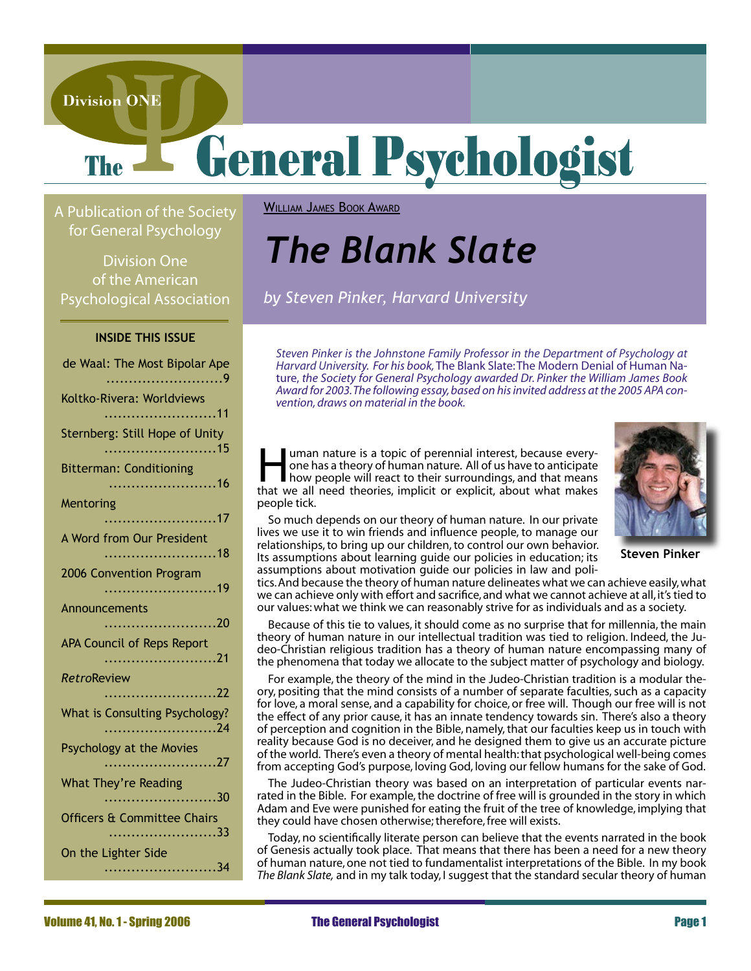# **General Psychologist**

A Publication of the Society for General Psychology

**Division ONE** 

Division One of the American Psychological Association

#### **INSIDE THIS ISSUE**

| de Waal: The Most Bipolar Ape<br>. 9           |
|------------------------------------------------|
| Koltko-Rivera: Worldviews                      |
| Sternberg: Still Hope of Unity                 |
| <b>Bitterman: Conditioning</b><br>.16<br>.     |
| Mentoring<br>. 17                              |
| A Word from Our President                      |
| 2006 Convention Program                        |
| Announcements<br>20                            |
| <b>APA Council of Reps Report</b>              |
| <b>RetroReview</b><br>. 22<br>.                |
| <b>What is Consulting Psychology?</b>          |
| Psychology at the Movies<br>$\ldots$ 27        |
| What They're Reading<br>30                     |
| <b>Officers &amp; Committee Chairs</b><br>. 33 |
| On the Lighter Side                            |
|                                                |

WILLIAM JAMES BOOK AWARD

## *The Blank Slate*

*by Steven Pinker, Harvard University*

*Steven Pinker is the Johnstone Family Professor in the Department of Psychology at Harvard University. For his book,* The Blank Slate: The Modern Denial of Human Nature, *the Society for General Psychology awarded Dr. Pinker the William James Book Award for 2003. The following essay, based on hisinvited address at the 2005 APA convention, draws on material in the book.*

I uman nature is a topic of perennial interest, because every-<br>
one has a theory of human nature. All of us have to anticipate<br>
how people will react to their surroundings, and that means<br>
that we all need theories, implic one has a theory of human nature. All of us have to anticipate that we all need theories, implicit or explicit, about what makes people tick.

So much depends on our theory of human nature. In our private lives we use it to win friends and influence people, to manage our relationships, to bring up our children, to control our own behavior. Its assumptions about learning guide our policies in education; its

assumptions about motivation guide our policies in law and politics. And because the theory of human nature delineates what we can achieve easily, what we can achieve only with effort and sacrifice, and what we cannot achieve at all, it's tied to our values: what we think we can reasonably strive for as individuals and as a society.

Because of this tie to values, it should come as no surprise that for millennia, the main theory of human nature in our intellectual tradition was tied to religion. Indeed, the Judeo-Christian religious tradition has a theory of human nature encompassing many of the phenomena that today we allocate to the subject matter of psychology and biology.

For example, the theory of the mind in the Judeo-Christian tradition is a modular theory, positing that the mind consists of a number of separate faculties, such as a capacity for love, a moral sense, and a capability for choice, or free will. Though our free will is not the effect of any prior cause, it has an innate tendency towards sin. There's also a theory of perception and cognition in the Bible, namely, that our faculties keep us in touch with reality because God is no deceiver, and he designed them to give us an accurate picture of the world. There's even a theory of mental health: that psychological well-being comes from accepting God's purpose, loving God, loving our fellow humans for the sake of God.

The Judeo-Christian theory was based on an interpretation of particular events narrated in the Bible. For example, the doctrine of free will is grounded in the story in which Adam and Eve were punished for eating the fruit of the tree of knowledge, implying that they could have chosen otherwise; therefore, free will exists.

Today, no scientifically literate person can believe that the events narrated in the book of Genesis actually took place. That means that there has been a need for a new theory of human nature, one not tied to fundamentalist interpretations of the Bible. In my book *The Blank Slate,* and in my talk today, I suggest that the standard secular theory of human



**Steven Pinker**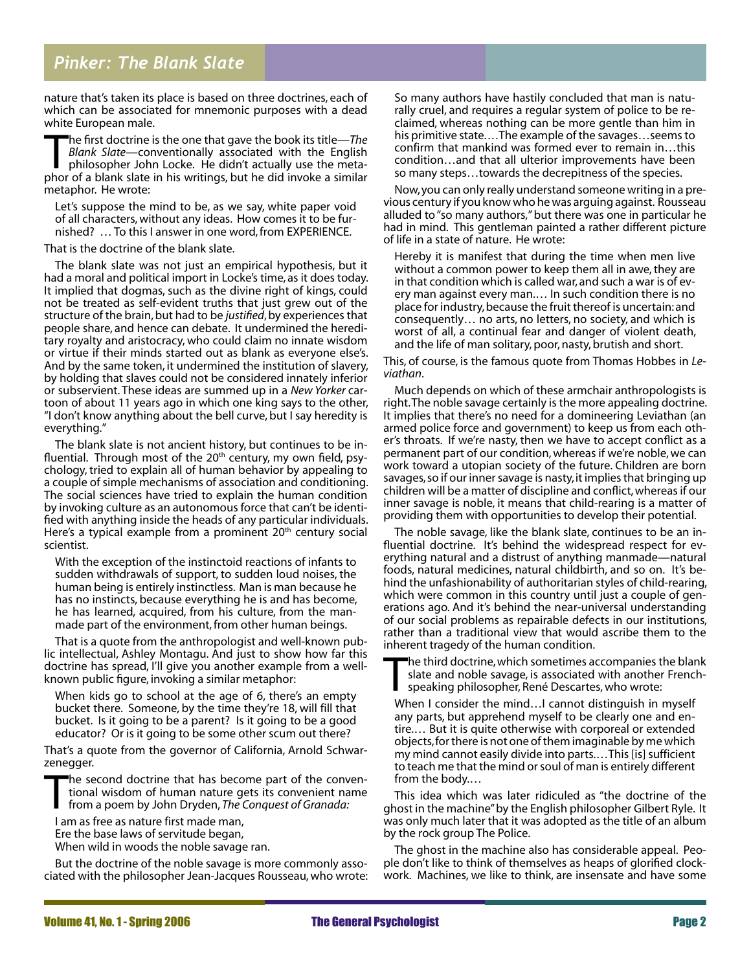nature that's taken its place is based on three doctrines, each of which can be associated for mnemonic purposes with a dead white European male.

The first doctrine is the one that gave the book its title—The Blank Slate—conventionally associated with the English philosopher John Locke. He didn't actually use the metaphor of a blank slate in his writings, but he did he first doctrine is the one that gave the book its title—*The Blank Slate*—conventionally associated with the English philosopher John Locke. He didn't actually use the metametaphor. He wrote:

Let's suppose the mind to be, as we say, white paper void of all characters, without any ideas. How comes it to be furnished? … To this I answer in one word, from EXPERIENCE.

That is the doctrine of the blank slate.

The blank slate was not just an empirical hypothesis, but it had a moral and political import in Locke's time, as it does today. It implied that dogmas, such as the divine right of kings, could not be treated as self-evident truths that just grew out of the structure of the brain, but had to be *justified*, by experiences that people share, and hence can debate. It undermined the hereditary royalty and aristocracy, who could claim no innate wisdom or virtue if their minds started out as blank as everyone else's. And by the same token, it undermined the institution of slavery, by holding that slaves could not be considered innately inferior or subservient. These ideas are summed up in a *New Yorker* cartoon of about 11 years ago in which one king says to the other, "I don't know anything about the bell curve, but I say heredity is everything."

The blank slate is not ancient history, but continues to be influential. Through most of the 20<sup>th</sup> century, my own field, psychology, tried to explain all of human behavior by appealing to a couple of simple mechanisms of association and conditioning. The social sciences have tried to explain the human condition by invoking culture as an autonomous force that can't be identified with anything inside the heads of any particular individuals. Here's a typical example from a prominent  $20<sup>th</sup>$  century social scientist.

With the exception of the instinctoid reactions of infants to sudden withdrawals of support, to sudden loud noises, the human being is entirely instinctless. Man is man because he has no instincts, because everything he is and has become, he has learned, acquired, from his culture, from the manmade part of the environment, from other human beings.

That is a quote from the anthropologist and well-known public intellectual, Ashley Montagu. And just to show how far this doctrine has spread, I'll give you another example from a wellknown public figure, invoking a similar metaphor:

When kids go to school at the age of 6, there's an empty bucket there. Someone, by the time they're 18, will fill that bucket. Is it going to be a parent? Is it going to be a good educator? Or is it going to be some other scum out there?

That's a quote from the governor of California, Arnold Schwarzenegger.

T he second doctrine that has become part of the conventional wisdom of human nature gets its convenient name from a poem by John Dryden, *The Conquest of Granada:*

I am as free as nature first made man,

Ere the base laws of servitude began,

When wild in woods the noble savage ran.

But the doctrine of the noble savage is more commonly associated with the philosopher Jean-Jacques Rousseau, who wrote: So many authors have hastily concluded that man is naturally cruel, and requires a regular system of police to be reclaimed, whereas nothing can be more gentle than him in his primitive state....The example of the savages...seems to confirm that mankind was formed ever to remain in…this condition…and that all ulterior improvements have been so many steps…towards the decrepitness of the species.

Now, you can only really understand someone writing in a previous century if you know who he was arguing against. Rousseau alluded to "so many authors," but there was one in particular he had in mind. This gentleman painted a rather different picture of life in a state of nature. He wrote:

Hereby it is manifest that during the time when men live without a common power to keep them all in awe, they are in that condition which is called war, and such a war is of every man against every man.… In such condition there is no place for industry, because the fruit thereof is uncertain: and consequently… no arts, no letters, no society, and which is worst of all, a continual fear and danger of violent death, and the life of man solitary, poor, nasty, brutish and short.

This, of course, is the famous quote from Thomas Hobbes in *Leviathan*.

Much depends on which of these armchair anthropologists is right. The noble savage certainly is the more appealing doctrine. It implies that there's no need for a domineering Leviathan (an armed police force and government) to keep us from each other's throats. If we're nasty, then we have to accept conflict as a permanent part of our condition, whereas if we're noble, we can work toward a utopian society of the future. Children are born savages, so if our inner savage is nasty, it implies that bringing up children will be a matter of discipline and conflict, whereas if our inner savage is noble, it means that child-rearing is a matter of providing them with opportunities to develop their potential.

The noble savage, like the blank slate, continues to be an influential doctrine. It's behind the widespread respect for everything natural and a distrust of anything manmade—natural foods, natural medicines, natural childbirth, and so on. It's behind the unfashionability of authoritarian styles of child-rearing, which were common in this country until just a couple of generations ago. And it's behind the near-universal understanding of our social problems as repairable defects in our institutions, rather than a traditional view that would ascribe them to the inherent tragedy of the human condition.

 $\overline{\mathbf{r}}$ he third doctrine, which sometimes accompanies the blank slate and noble savage, is associated with another Frenchspeaking philosopher, René Descartes, who wrote:

When I consider the mind…I cannot distinguish in myself any parts, but apprehend myself to be clearly one and entire.… But it is quite otherwise with corporeal or extended objects, for there is not one of them imaginable by me which my mind cannot easily divide into parts.…This [is] sufficient to teach me that the mind or soul of man is entirely different from the body.…

This idea which was later ridiculed as "the doctrine of the ghost in the machine" by the English philosopher Gilbert Ryle. It was only much later that it was adopted as the title of an album by the rock group The Police.

The ghost in the machine also has considerable appeal. People don't like to think of themselves as heaps of glorified clockwork. Machines, we like to think, are insensate and have some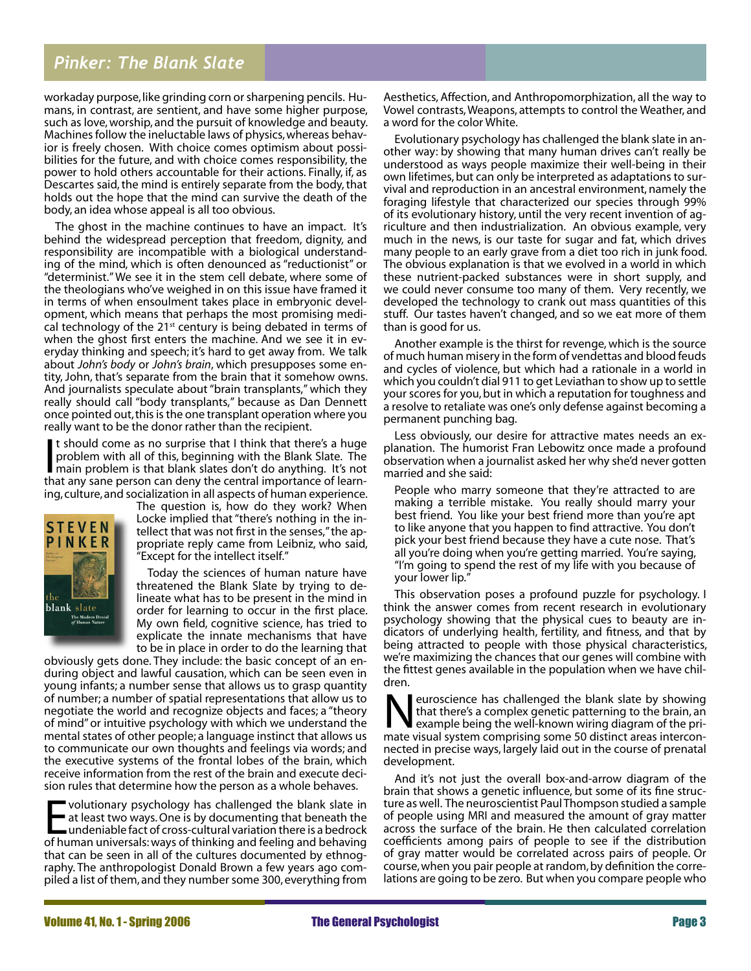workaday purpose, like grinding corn or sharpening pencils. Humans, in contrast, are sentient, and have some higher purpose, such as love, worship, and the pursuit of knowledge and beauty. Machines follow the ineluctable laws of physics, whereas behavior is freely chosen. With choice comes optimism about possibilities for the future, and with choice comes responsibility, the power to hold others accountable for their actions. Finally, if, as Descartes said, the mind is entirely separate from the body, that holds out the hope that the mind can survive the death of the body, an idea whose appeal is all too obvious.

The ghost in the machine continues to have an impact. It's behind the widespread perception that freedom, dignity, and responsibility are incompatible with a biological understanding of the mind, which is often denounced as "reductionist" or "determinist." We see it in the stem cell debate, where some of the theologians who've weighed in on this issue have framed it in terms of when ensoulment takes place in embryonic development, which means that perhaps the most promising medical technology of the  $21^{st}$  century is being debated in terms of when the ghost first enters the machine. And we see it in everyday thinking and speech; it's hard to get away from. We talk about *John's body* or *John's brain*, which presupposes some entity, John, that's separate from the brain that it somehow owns. And journalists speculate about "brain transplants," which they really should call "body transplants," because as Dan Dennett once pointed out, this is the one transplant operation where you really want to be the donor rather than the recipient.

It should come as no surprise that I think that there's a huge<br>problem with all of this, beginning with the Blank Slate. The<br>main problem is that blank slates don't do anything. It's not<br>that any sane person can deny the c t should come as no surprise that I think that there's a huge problem with all of this, beginning with the Blank Slate. The that any sane person can deny the central importance of learning, culture, and socialization in all aspects of human experience.



The question is, how do they work? When Locke implied that "there's nothing in the intellect that was not first in the senses," the appropriate reply came from Leibniz, who said, "Except for the intellect itself."

Today the sciences of human nature have threatened the Blank Slate by trying to delineate what has to be present in the mind in order for learning to occur in the first place. My own field, cognitive science, has tried to explicate the innate mechanisms that have to be in place in order to do the learning that

obviously gets done. They include: the basic concept of an enduring object and lawful causation, which can be seen even in young infants; a number sense that allows us to grasp quantity of number; a number of spatial representations that allow us to negotiate the world and recognize objects and faces; a "theory of mind" or intuitive psychology with which we understand the mental states of other people; a language instinct that allows us to communicate our own thoughts and feelings via words; and the executive systems of the frontal lobes of the brain, which receive information from the rest of the brain and execute decision rules that determine how the person as a whole behaves.

volutionary psychology has challenged the blank slate in<br>at least two ways. One is by documenting that beneath the<br>undeniable fact of cross-cultural variation there is a bedrock<br>of human universals: ways of thinking and fe volutionary psychology has challenged the blank slate in at least two ways. One is by documenting that beneath the undeniable fact of cross-cultural variation there is a bedrock that can be seen in all of the cultures documented by ethnography. The anthropologist Donald Brown a few years ago compiled a list of them, and they number some 300, everything from

Aesthetics, Affection, and Anthropomorphization, all the way to Vowel contrasts, Weapons, attempts to control the Weather, and a word for the color White.

Evolutionary psychology has challenged the blank slate in another way: by showing that many human drives can't really be understood as ways people maximize their well-being in their own lifetimes, but can only be interpreted as adaptations to survival and reproduction in an ancestral environment, namely the foraging lifestyle that characterized our species through 99% of its evolutionary history, until the very recent invention of agriculture and then industrialization. An obvious example, very much in the news, is our taste for sugar and fat, which drives many people to an early grave from a diet too rich in junk food. The obvious explanation is that we evolved in a world in which these nutrient-packed substances were in short supply, and we could never consume too many of them. Very recently, we developed the technology to crank out mass quantities of this stuff. Our tastes haven't changed, and so we eat more of them than is good for us.

Another example is the thirst for revenge, which is the source of much human misery in the form of vendettas and blood feuds and cycles of violence, but which had a rationale in a world in which you couldn't dial 911 to get Leviathan to show up to settle your scores for you, but in which a reputation for toughness and a resolve to retaliate was one's only defense against becoming a permanent punching bag.

Less obviously, our desire for attractive mates needs an explanation. The humorist Fran Lebowitz once made a profound observation when a journalist asked her why she'd never gotten married and she said:

People who marry someone that they're attracted to are making a terrible mistake. You really should marry your best friend. You like your best friend more than you're apt to like anyone that you happen to find attractive. You don't pick your best friend because they have a cute nose. That's all you're doing when you're getting married. You're saying, "I'm going to spend the rest of my life with you because of your lower lip."

This observation poses a profound puzzle for psychology. I think the answer comes from recent research in evolutionary psychology showing that the physical cues to beauty are indicators of underlying health, fertility, and fitness, and that by being attracted to people with those physical characteristics, we're maximizing the chances that our genes will combine with the fittest genes available in the population when we have children.

euroscience has challenged the blank slate by showing that there's a complex genetic patterning to the brain, an example being the well-known wiring diagram of the primate visual system comprising some 50 distinct areas interconnected in precise ways, largely laid out in the course of prenatal development.

And it's not just the overall box-and-arrow diagram of the brain that shows a genetic influence, but some of its fine structure as well. The neuroscientist Paul Thompson studied a sample of people using MRI and measured the amount of gray matter across the surface of the brain. He then calculated correlation coefficients among pairs of people to see if the distribution of gray matter would be correlated across pairs of people. Or course, when you pair people at random, by definition the correlations are going to be zero. But when you compare people who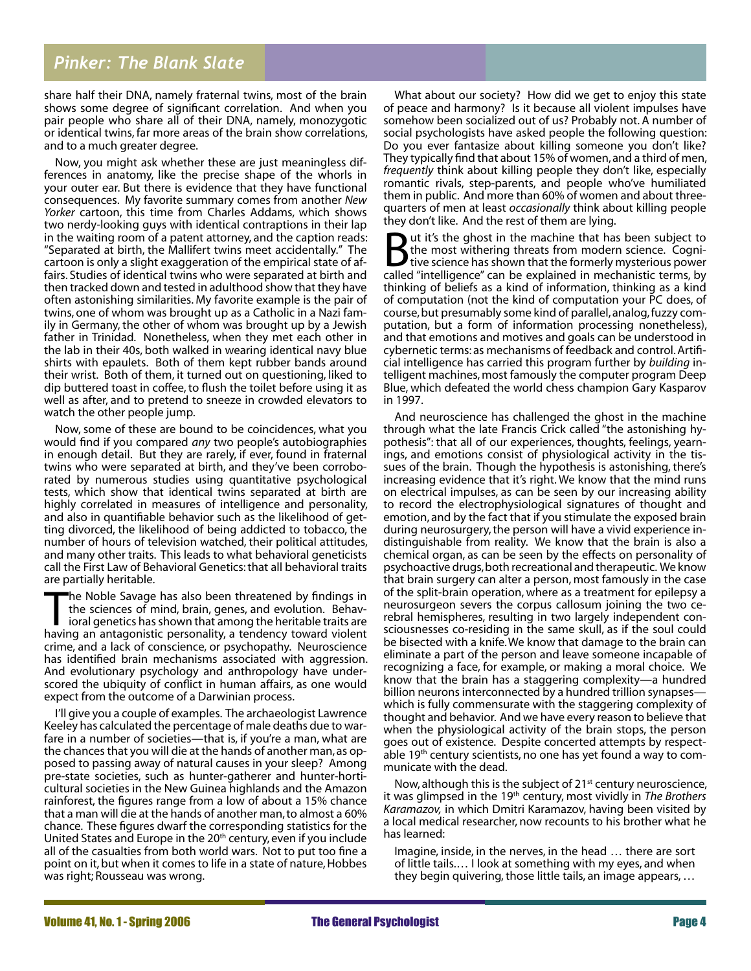share half their DNA, namely fraternal twins, most of the brain shows some degree of significant correlation. And when you pair people who share all of their DNA, namely, monozygotic or identical twins, far more areas of the brain show correlations, and to a much greater degree.

Now, you might ask whether these are just meaningless differences in anatomy, like the precise shape of the whorls in your outer ear. But there is evidence that they have functional consequences. My favorite summary comes from another *New Yorker* cartoon, this time from Charles Addams, which shows two nerdy-looking guys with identical contraptions in their lap in the waiting room of a patent attorney, and the caption reads: "Separated at birth, the Mallifert twins meet accidentally." The cartoon is only a slight exaggeration of the empirical state of affairs. Studies of identical twins who were separated at birth and then tracked down and tested in adulthood show that they have often astonishing similarities. My favorite example is the pair of twins, one of whom was brought up as a Catholic in a Nazi family in Germany, the other of whom was brought up by a Jewish father in Trinidad. Nonetheless, when they met each other in the lab in their 40s, both walked in wearing identical navy blue shirts with epaulets. Both of them kept rubber bands around their wrist. Both of them, it turned out on questioning, liked to dip buttered toast in coffee, to flush the toilet before using it as well as after, and to pretend to sneeze in crowded elevators to watch the other people jump.

Now, some of these are bound to be coincidences, what you would find if you compared *any* two people's autobiographies in enough detail. But they are rarely, if ever, found in fraternal twins who were separated at birth, and they've been corroborated by numerous studies using quantitative psychological tests, which show that identical twins separated at birth are highly correlated in measures of intelligence and personality, and also in quantifiable behavior such as the likelihood of getting divorced, the likelihood of being addicted to tobacco, the number of hours of television watched, their political attitudes, and many other traits. This leads to what behavioral geneticists call the First Law of Behavioral Genetics: that all behavioral traits are partially heritable.

The Noble Savage has also been threatened by findings in the sciences of mind, brain, genes, and evolution. Behavioral genetics has shown that among the heritable traits are having an antagonistic personality, a tendency t he Noble Savage has also been threatened by findings in the sciences of mind, brain, genes, and evolution. Behavioral genetics has shown that among the heritable traits are crime, and a lack of conscience, or psychopathy. Neuroscience has identified brain mechanisms associated with aggression. And evolutionary psychology and anthropology have underscored the ubiquity of conflict in human affairs, as one would expect from the outcome of a Darwinian process.

I'll give you a couple of examples. The archaeologist Lawrence Keeley has calculated the percentage of male deaths due to warfare in a number of societies—that is, if you're a man, what are the chances that you will die at the hands of another man, as opposed to passing away of natural causes in your sleep? Among pre-state societies, such as hunter-gatherer and hunter-horticultural societies in the New Guinea highlands and the Amazon rainforest, the figures range from a low of about a 15% chance that a man will die at the hands of another man, to almost a 60% chance. These figures dwarf the corresponding statistics for the United States and Europe in the 20<sup>th</sup> century, even if you include all of the casualties from both world wars. Not to put too fine a point on it, but when it comes to life in a state of nature, Hobbes was right; Rousseau was wrong.

What about our society? How did we get to enjoy this state of peace and harmony? Is it because all violent impulses have somehow been socialized out of us? Probably not. A number of social psychologists have asked people the following question: Do you ever fantasize about killing someone you don't like? They typically find that about 15% of women, and a third of men, *frequently* think about killing people they don't like, especially romantic rivals, step-parents, and people who've humiliated them in public. And more than 60% of women and about threequarters of men at least *occasionally* think about killing people they don't like. And the rest of them are lying.

**But it's the ghost in the machine that has been subject to** the most withering threats from modern science. Cognitive science has shown that the formerly mysterious power called "intelligence" can be explained in mechanis If it's the ghost in the machine that has been subject to the most withering threats from modern science. Cognicalled "intelligence" can be explained in mechanistic terms, by thinking of beliefs as a kind of information, thinking as a kind of computation (not the kind of computation your PC does, of course, but presumably some kind of parallel, analog, fuzzy computation, but a form of information processing nonetheless), and that emotions and motives and goals can be understood in cybernetic terms: as mechanisms of feedback and control. Artificial intelligence has carried this program further by *building* intelligent machines, most famously the computer program Deep Blue, which defeated the world chess champion Gary Kasparov in 1997.

And neuroscience has challenged the ghost in the machine through what the late Francis Crick called "the astonishing hypothesis": that all of our experiences, thoughts, feelings, yearnings, and emotions consist of physiological activity in the tissues of the brain. Though the hypothesis is astonishing, there's increasing evidence that it's right. We know that the mind runs on electrical impulses, as can be seen by our increasing ability to record the electrophysiological signatures of thought and emotion, and by the fact that if you stimulate the exposed brain during neurosurgery, the person will have a vivid experience indistinguishable from reality. We know that the brain is also a chemical organ, as can be seen by the effects on personality of psychoactive drugs, both recreational and therapeutic. We know that brain surgery can alter a person, most famously in the case of the split-brain operation, where as a treatment for epilepsy a neurosurgeon severs the corpus callosum joining the two cerebral hemispheres, resulting in two largely independent consciousnesses co-residing in the same skull, as if the soul could be bisected with a knife. We know that damage to the brain can eliminate a part of the person and leave someone incapable of recognizing a face, for example, or making a moral choice. We know that the brain has a staggering complexity—a hundred billion neurons interconnected by a hundred trillion synapses which is fully commensurate with the staggering complexity of thought and behavior. And we have every reason to believe that when the physiological activity of the brain stops, the person goes out of existence. Despite concerted attempts by respectable 19<sup>th</sup> century scientists, no one has yet found a way to communicate with the dead.

Now, although this is the subject of  $21<sup>st</sup>$  century neuroscience, it was glimpsed in the 19th century, most vividly in *The Brothers Karamazov,* in which Dmitri Karamazov, having been visited by a local medical researcher, now recounts to his brother what he has learned:

Imagine, inside, in the nerves, in the head … there are sort of little tails.… I look at something with my eyes, and when they begin quivering, those little tails, an image appears, …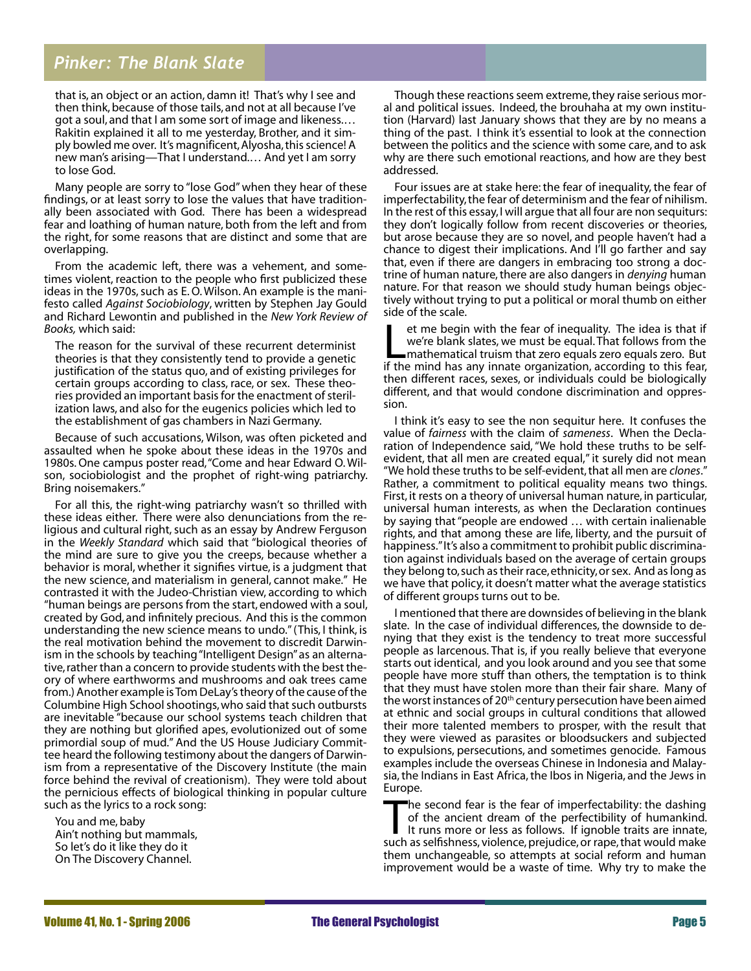that is, an object or an action, damn it! That's why I see and then think, because of those tails, and not at all because I've got a soul, and that I am some sort of image and likeness.… Rakitin explained it all to me yesterday, Brother, and it simply bowled me over. It's magnificent, Alyosha, this science! A new man's arising—That I understand.… And yet I am sorry to lose God.

Many people are sorry to "lose God" when they hear of these findings, or at least sorry to lose the values that have traditionally been associated with God. There has been a widespread fear and loathing of human nature, both from the left and from the right, for some reasons that are distinct and some that are overlapping.

From the academic left, there was a vehement, and sometimes violent, reaction to the people who first publicized these ideas in the 1970s, such as E. O. Wilson. An example is the manifesto called *Against Sociobiology*, written by Stephen Jay Gould and Richard Lewontin and published in the *New York Review of Books,* which said:

The reason for the survival of these recurrent determinist theories is that they consistently tend to provide a genetic justification of the status quo, and of existing privileges for certain groups according to class, race, or sex. These theories provided an important basis for the enactment of sterilization laws, and also for the eugenics policies which led to the establishment of gas chambers in Nazi Germany.

Because of such accusations, Wilson, was often picketed and assaulted when he spoke about these ideas in the 1970s and 1980s. One campus poster read, "Come and hear Edward O. Wilson, sociobiologist and the prophet of right-wing patriarchy. Bring noisemakers."

For all this, the right-wing patriarchy wasn't so thrilled with these ideas either. There were also denunciations from the religious and cultural right, such as an essay by Andrew Ferguson in the *Weekly Standard* which said that "biological theories of the mind are sure to give you the creeps, because whether a behavior is moral, whether it signifies virtue, is a judgment that the new science, and materialism in general, cannot make." He contrasted it with the Judeo-Christian view, according to which "human beings are persons from the start, endowed with a soul, created by God, and infinitely precious. And this is the common understanding the new science means to undo." (This, I think, is the real motivation behind the movement to discredit Darwinism in the schools by teaching "Intelligent Design" as an alternative, rather than a concern to provide students with the best theory of where earthworms and mushrooms and oak trees came from.) Another example is Tom DeLay's theory of the cause of the Columbine High School shootings, who said that such outbursts are inevitable "because our school systems teach children that they are nothing but glorified apes, evolutionized out of some primordial soup of mud." And the US House Judiciary Committee heard the following testimony about the dangers of Darwinism from a representative of the Discovery Institute (the main force behind the revival of creationism). They were told about the pernicious effects of biological thinking in popular culture such as the lyrics to a rock song:

You and me, baby Ain't nothing but mammals, So let's do it like they do it On The Discovery Channel.

Though these reactions seem extreme, they raise serious moral and political issues. Indeed, the brouhaha at my own institution (Harvard) last January shows that they are by no means a thing of the past. I think it's essential to look at the connection between the politics and the science with some care, and to ask why are there such emotional reactions, and how are they best addressed.

Four issues are at stake here: the fear of inequality, the fear of imperfectability, the fear of determinism and the fear of nihilism. In the rest of this essay, I will argue that all four are non sequiturs: they don't logically follow from recent discoveries or theories, but arose because they are so novel, and people haven't had a chance to digest their implications. And I'll go farther and say that, even if there are dangers in embracing too strong a doctrine of human nature, there are also dangers in *denying* human nature. For that reason we should study human beings objectively without trying to put a political or moral thumb on either side of the scale.

et me begin with the fear of inequality. The idea is that if we're blank slates, we must be equal. That follows from the mathematical truism that zero equals zero equals zero. But if the mind has any innate organization, a et me begin with the fear of inequality. The idea is that if we're blank slates, we must be equal. That follows from the mathematical truism that zero equals zero equals zero. But then different races, sexes, or individuals could be biologically different, and that would condone discrimination and oppression.

I think it's easy to see the non sequitur here. It confuses the value of *fairness* with the claim of *sameness*. When the Declaration of Independence said, "We hold these truths to be selfevident, that all men are created equal," it surely did not mean "We hold these truths to be self-evident, that all men are *clones*." Rather, a commitment to political equality means two things. First, it rests on a theory of universal human nature, in particular, universal human interests, as when the Declaration continues by saying that "people are endowed … with certain inalienable rights, and that among these are life, liberty, and the pursuit of happiness." It's also a commitment to prohibit public discrimination against individuals based on the average of certain groups they belong to, such as their race, ethnicity, or sex. And as long as we have that policy, it doesn't matter what the average statistics of different groups turns out to be.

I mentioned that there are downsides of believing in the blank slate. In the case of individual differences, the downside to denying that they exist is the tendency to treat more successful people as larcenous. That is, if you really believe that everyone starts out identical, and you look around and you see that some people have more stuff than others, the temptation is to think that they must have stolen more than their fair share. Many of the worst instances of 20<sup>th</sup> century persecution have been aimed at ethnic and social groups in cultural conditions that allowed their more talented members to prosper, with the result that they were viewed as parasites or bloodsuckers and subjected to expulsions, persecutions, and sometimes genocide. Famous examples include the overseas Chinese in Indonesia and Malaysia, the Indians in East Africa, the Ibos in Nigeria, and the Jews in Europe.

The second fear is the fear of imperfectability: the dashing of the ancient dream of the perfectibility of humankind. It runs more or less as follows. If ignoble traits are innate, such as selfishness, violence, prejudice, he second fear is the fear of imperfectability: the dashing of the ancient dream of the perfectibility of humankind. It runs more or less as follows. If ignoble traits are innate, them unchangeable, so attempts at social reform and human improvement would be a waste of time. Why try to make the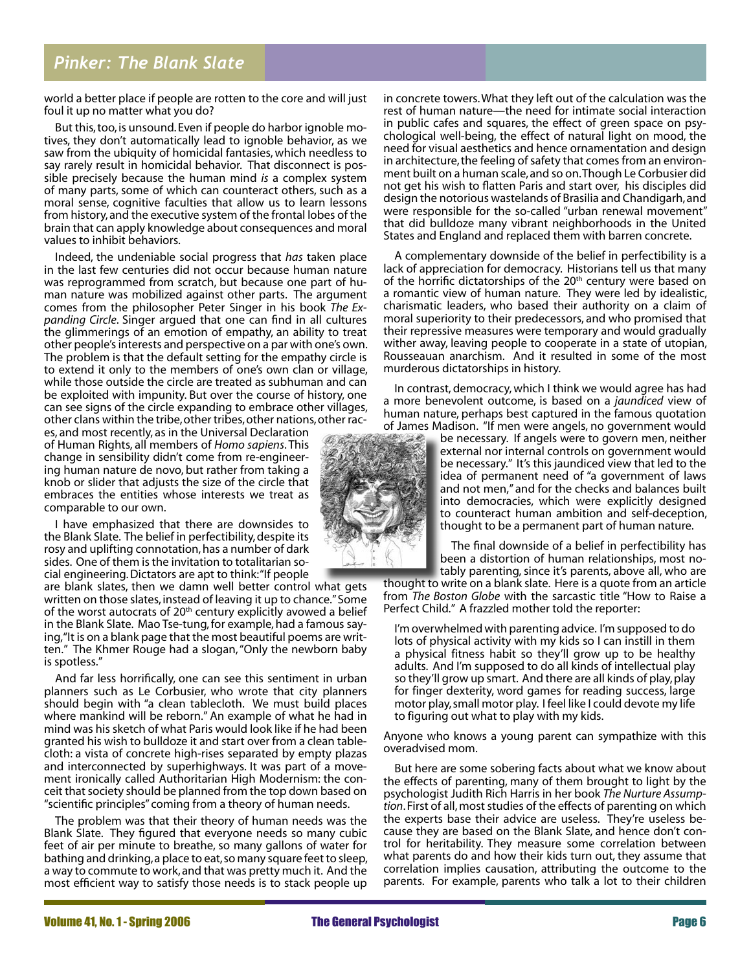world a better place if people are rotten to the core and will just foul it up no matter what you do?

But this, too, is unsound. Even if people do harbor ignoble motives, they don't automatically lead to ignoble behavior, as we saw from the ubiquity of homicidal fantasies, which needless to say rarely result in homicidal behavior. That disconnect is possible precisely because the human mind *is* a complex system of many parts, some of which can counteract others, such as a moral sense, cognitive faculties that allow us to learn lessons from history, and the executive system of the frontal lobes of the brain that can apply knowledge about consequences and moral values to inhibit behaviors.

Indeed, the undeniable social progress that *has* taken place in the last few centuries did not occur because human nature was reprogrammed from scratch, but because one part of human nature was mobilized against other parts. The argument comes from the philosopher Peter Singer in his book *The Expanding Circle*. Singer argued that one can find in all cultures the glimmerings of an emotion of empathy, an ability to treat other people's interests and perspective on a par with one's own. The problem is that the default setting for the empathy circle is to extend it only to the members of one's own clan or village, while those outside the circle are treated as subhuman and can be exploited with impunity. But over the course of history, one can see signs of the circle expanding to embrace other villages, other clans within the tribe, other tribes, other nations, other rac-

es, and most recently, as in the Universal Declaration of Human Rights, all members of *Homo sapiens*. This change in sensibility didn't come from re-engineering human nature de novo, but rather from taking a knob or slider that adjusts the size of the circle that embraces the entities whose interests we treat as comparable to our own.

I have emphasized that there are downsides to the Blank Slate. The belief in perfectibility, despite its rosy and uplifting connotation, has a number of dark sides. One of them is the invitation to totalitarian social engineering. Dictators are apt to think: "If people

are blank slates, then we damn well better control what gets written on those slates, instead of leaving it up to chance." Some of the worst autocrats of 20<sup>th</sup> century explicitly avowed a belief in the Blank Slate. Mao Tse-tung, for example, had a famous saying, "It is on a blank page that the most beautiful poems are written." The Khmer Rouge had a slogan, "Only the newborn baby is spotless."

And far less horrifically, one can see this sentiment in urban planners such as Le Corbusier, who wrote that city planners should begin with "a clean tablecloth. We must build places where mankind will be reborn." An example of what he had in mind was his sketch of what Paris would look like if he had been granted his wish to bulldoze it and start over from a clean tablecloth: a vista of concrete high-rises separated by empty plazas and interconnected by superhighways. It was part of a movement ironically called Authoritarian High Modernism: the conceit that society should be planned from the top down based on "scientific principles" coming from a theory of human needs.

The problem was that their theory of human needs was the Blank Slate. They figured that everyone needs so many cubic feet of air per minute to breathe, so many gallons of water for bathing and drinking, a place to eat, so many square feet to sleep, a way to commute to work, and that was pretty much it. And the most efficient way to satisfy those needs is to stack people up

in concrete towers. What they left out of the calculation was the rest of human nature—the need for intimate social interaction in public cafes and squares, the effect of green space on psychological well-being, the effect of natural light on mood, the need for visual aesthetics and hence ornamentation and design in architecture, the feeling of safety that comes from an environment built on a human scale, and so on. Though Le Corbusier did not get his wish to flatten Paris and start over, his disciples did design the notorious wastelands of Brasilia and Chandigarh, and were responsible for the so-called "urban renewal movement" that did bulldoze many vibrant neighborhoods in the United States and England and replaced them with barren concrete.

A complementary downside of the belief in perfectibility is a lack of appreciation for democracy. Historians tell us that many of the horrific dictatorships of the 20<sup>th</sup> century were based on a romantic view of human nature. They were led by idealistic, charismatic leaders, who based their authority on a claim of moral superiority to their predecessors, and who promised that their repressive measures were temporary and would gradually wither away, leaving people to cooperate in a state of utopian, Rousseauan anarchism. And it resulted in some of the most murderous dictatorships in history.

In contrast, democracy, which I think we would agree has had a more benevolent outcome, is based on a *jaundiced* view of human nature, perhaps best captured in the famous quotation of James Madison. "If men were angels, no government would

> be necessary. If angels were to govern men, neither external nor internal controls on government would be necessary." It's this jaundiced view that led to the idea of permanent need of "a government of laws and not men," and for the checks and balances built into democracies, which were explicitly designed to counteract human ambition and self-deception, thought to be a permanent part of human nature.

> The final downside of a belief in perfectibility has been a distortion of human relationships, most notably parenting, since it's parents, above all, who are

thought to write on a blank slate. Here is a quote from an article from *The Boston Globe* with the sarcastic title "How to Raise a Perfect Child." A frazzled mother told the reporter:

I'm overwhelmed with parenting advice. I'm supposed to do lots of physical activity with my kids so I can instill in them a physical fitness habit so they'll grow up to be healthy adults. And I'm supposed to do all kinds of intellectual play so they'll grow up smart. And there are all kinds of play, play for finger dexterity, word games for reading success, large motor play, small motor play. I feel like I could devote my life to figuring out what to play with my kids.

Anyone who knows a young parent can sympathize with this overadvised mom.

But here are some sobering facts about what we know about the effects of parenting, many of them brought to light by the psychologist Judith Rich Harris in her book *The Nurture Assumption*. First of all, most studies of the effects of parenting on which the experts base their advice are useless. They're useless because they are based on the Blank Slate, and hence don't control for heritability. They measure some correlation between what parents do and how their kids turn out, they assume that correlation implies causation, attributing the outcome to the parents. For example, parents who talk a lot to their children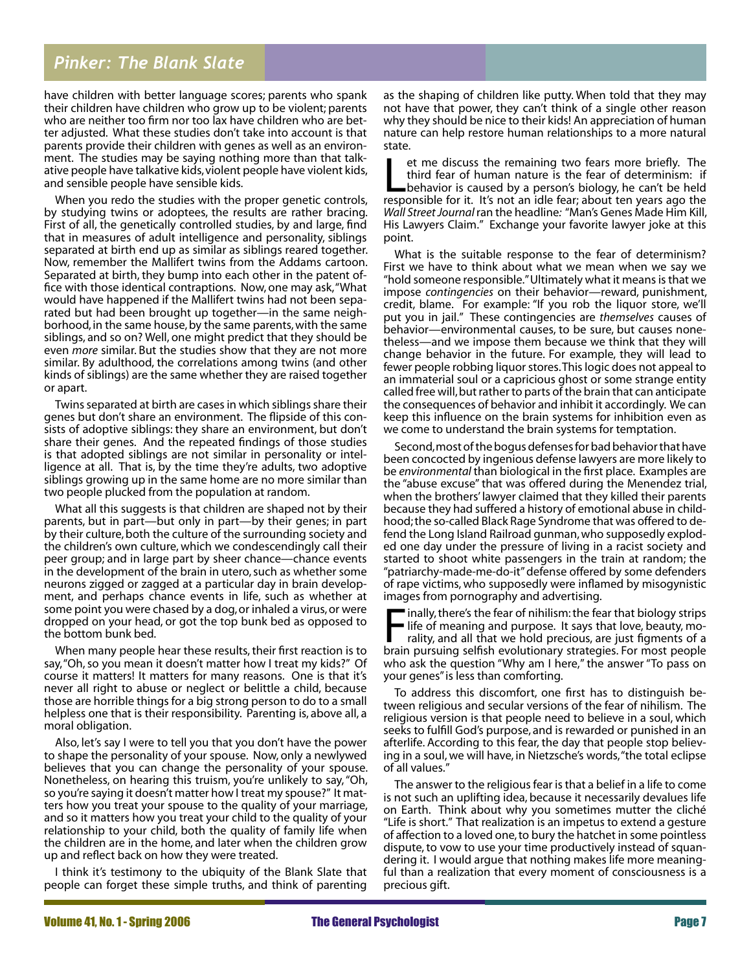have children with better language scores; parents who spank their children have children who grow up to be violent; parents who are neither too firm nor too lax have children who are better adjusted. What these studies don't take into account is that parents provide their children with genes as well as an environment. The studies may be saying nothing more than that talkative people have talkative kids, violent people have violent kids, and sensible people have sensible kids.

When you redo the studies with the proper genetic controls, by studying twins or adoptees, the results are rather bracing. First of all, the genetically controlled studies, by and large, find that in measures of adult intelligence and personality, siblings separated at birth end up as similar as siblings reared together. Now, remember the Mallifert twins from the Addams cartoon. Separated at birth, they bump into each other in the patent office with those identical contraptions. Now, one may ask, "What would have happened if the Mallifert twins had not been separated but had been brought up together—in the same neighborhood, in the same house, by the same parents, with the same siblings, and so on? Well, one might predict that they should be even *more* similar. But the studies show that they are not more similar. By adulthood, the correlations among twins (and other kinds of siblings) are the same whether they are raised together or apart.

Twins separated at birth are cases in which siblings share their genes but don't share an environment. The flipside of this consists of adoptive siblings: they share an environment, but don't share their genes. And the repeated findings of those studies is that adopted siblings are not similar in personality or intelligence at all. That is, by the time they're adults, two adoptive siblings growing up in the same home are no more similar than two people plucked from the population at random.

What all this suggests is that children are shaped not by their parents, but in part—but only in part—by their genes; in part by their culture, both the culture of the surrounding society and the children's own culture, which we condescendingly call their peer group; and in large part by sheer chance—chance events in the development of the brain in utero, such as whether some neurons zigged or zagged at a particular day in brain development, and perhaps chance events in life, such as whether at some point you were chased by a dog, or inhaled a virus, or were dropped on your head, or got the top bunk bed as opposed to the bottom bunk bed.

When many people hear these results, their first reaction is to say, "Oh, so you mean it doesn't matter how I treat my kids?" Of course it matters! It matters for many reasons. One is that it's never all right to abuse or neglect or belittle a child, because those are horrible things for a big strong person to do to a small helpless one that is their responsibility. Parenting is, above all, a moral obligation.

Also, let's say I were to tell you that you don't have the power to shape the personality of your spouse. Now, only a newlywed believes that you can change the personality of your spouse. Nonetheless, on hearing this truism, you're unlikely to say, "Oh, so you're saying it doesn't matter how I treat my spouse?" It matters how you treat your spouse to the quality of your marriage, and so it matters how you treat your child to the quality of your relationship to your child, both the quality of family life when the children are in the home, and later when the children grow up and reflect back on how they were treated.

I think it's testimony to the ubiquity of the Blank Slate that people can forget these simple truths, and think of parenting as the shaping of children like putty. When told that they may not have that power, they can't think of a single other reason why they should be nice to their kids! An appreciation of human nature can help restore human relationships to a more natural state.

et me discuss the remaining two fears more briefly. The third fear of human nature is the fear of determinism: if behavior is caused by a person's biology, he can't be held responsible for it. It's not an idle fear; about et me discuss the remaining two fears more briefly. The third fear of human nature is the fear of determinism: if behavior is caused by a person's biology, he can't be held *Wall Street Journal* ran the headline*:* "Man's Genes Made Him Kill, His Lawyers Claim." Exchange your favorite lawyer joke at this point.

What is the suitable response to the fear of determinism? First we have to think about what we mean when we say we "hold someone responsible." Ultimately what it means is that we impose *contingencies* on their behavior—reward, punishment, credit, blame. For example: "If you rob the liquor store, we'll put you in jail." These contingencies are *themselves* causes of behavior—environmental causes, to be sure, but causes nonetheless—and we impose them because we think that they will change behavior in the future. For example, they will lead to fewer people robbing liquor stores. This logic does not appeal to an immaterial soul or a capricious ghost or some strange entity called free will, but rather to parts of the brain that can anticipate the consequences of behavior and inhibit it accordingly. We can keep this influence on the brain systems for inhibition even as we come to understand the brain systems for temptation.

Second, most of the bogus defenses for bad behavior that have been concocted by ingenious defense lawyers are more likely to be *environmental* than biological in the first place. Examples are the "abuse excuse" that was offered during the Menendez trial, when the brothers' lawyer claimed that they killed their parents because they had suffered a history of emotional abuse in childhood; the so-called Black Rage Syndrome that was offered to defend the Long Island Railroad gunman, who supposedly exploded one day under the pressure of living in a racist society and started to shoot white passengers in the train at random; the "patriarchy-made-me-do-it" defense offered by some defenders of rape victims, who supposedly were inflamed by misogynistic images from pornography and advertising.

Finally, there's the fear of nihilism: the fear that biology strips<br>life of meaning and purpose. It says that love, beauty, mo-<br>rality, and all that we hold precious, are just figments of a<br>brain pursuing selfish evolution inally, there's the fear of nihilism: the fear that biology strips life of meaning and purpose. It says that love, beauty, morality, and all that we hold precious, are just figments of a who ask the question "Why am I here," the answer "To pass on your genes" is less than comforting.

To address this discomfort, one first has to distinguish between religious and secular versions of the fear of nihilism. The religious version is that people need to believe in a soul, which seeks to fulfill God's purpose, and is rewarded or punished in an afterlife. According to this fear, the day that people stop believing in a soul, we will have, in Nietzsche's words, "the total eclipse of all values."

The answer to the religious fear is that a belief in a life to come is not such an uplifting idea, because it necessarily devalues life on Earth. Think about why you sometimes mutter the cliché "Life is short." That realization is an impetus to extend a gesture of affection to a loved one, to bury the hatchet in some pointless dispute, to vow to use your time productively instead of squandering it. I would argue that nothing makes life more meaningful than a realization that every moment of consciousness is a precious gift.